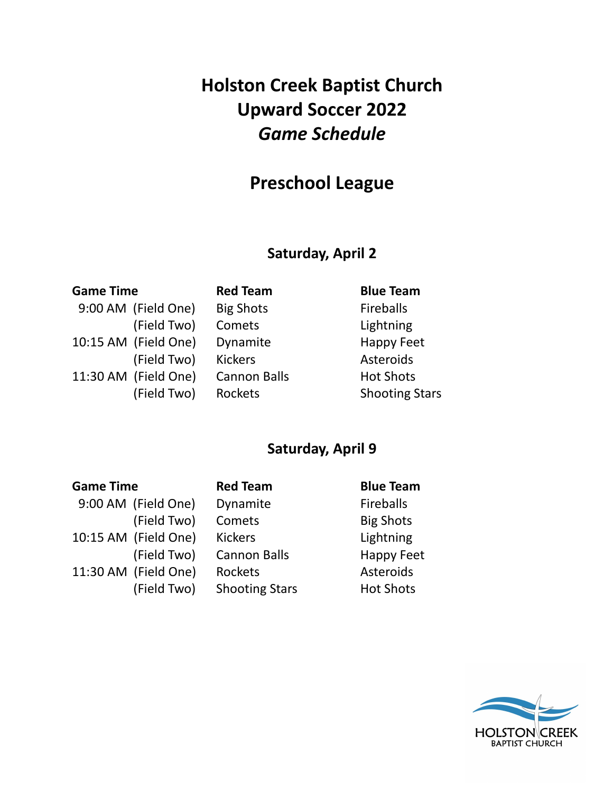# **Holston Creek Baptist Church Upward Soccer 2022** *Game Schedule*

## **Preschool League**

### **Saturday, April 2**

### **Game Time Red Team Blue Team**

- 9:00 AM (Field One) Big Shots Fireballs 10:15 AM (Field One) Dynamite Happy Feet 11:30 AM (Field One) Cannon Balls Hot Shots
- (Field Two) Comets Lightning (Field Two) Kickers **Asteroids**

(Field Two) Rockets Shooting Stars

### **Saturday, April 9**

| <b>Game Time</b> |                      | <b>Red Team</b>       | <b>Blue Team</b>  |
|------------------|----------------------|-----------------------|-------------------|
|                  | 9:00 AM (Field One)  | Dynamite              | <b>Fireballs</b>  |
|                  | (Field Two)          | Comets                | <b>Big Shots</b>  |
|                  | 10:15 AM (Field One) | <b>Kickers</b>        | Lightning         |
|                  | (Field Two)          | <b>Cannon Balls</b>   | <b>Happy Feet</b> |
|                  | 11:30 AM (Field One) | Rockets               | Asteroids         |
|                  | (Field Two)          | <b>Shooting Stars</b> | <b>Hot Shots</b>  |

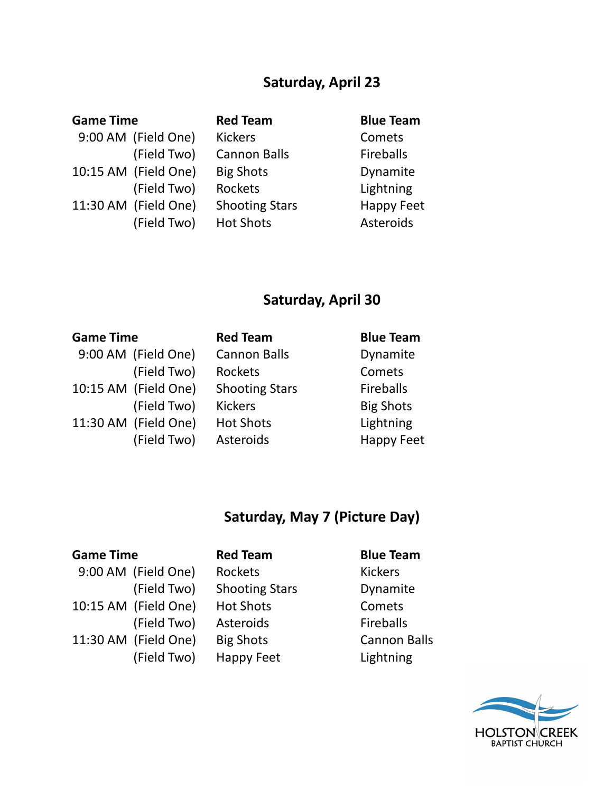## **Saturday, April 23**

| <b>Game Time</b> |                      | <b>Red Team</b>       | <b>Blue Team</b> |
|------------------|----------------------|-----------------------|------------------|
|                  | 9:00 AM (Field One)  | <b>Kickers</b>        | Comets           |
|                  | (Field Two)          | <b>Cannon Balls</b>   | <b>Fireballs</b> |
|                  | 10:15 AM (Field One) | <b>Big Shots</b>      | Dynamite         |
|                  | (Field Two)          | <b>Rockets</b>        | Lightning        |
|                  | 11:30 AM (Field One) | <b>Shooting Stars</b> | Happy Feet       |
|                  | (Field Two)          | <b>Hot Shots</b>      | Asteroids        |

## **Saturday, April 30**

| <b>Game Time</b> |                      | <b>Red Team</b>       | <b>Blue Team</b>  |
|------------------|----------------------|-----------------------|-------------------|
|                  | 9:00 AM (Field One)  | <b>Cannon Balls</b>   | Dynamite          |
|                  | (Field Two)          | Rockets               | Comets            |
|                  | 10:15 AM (Field One) | <b>Shooting Stars</b> | <b>Fireballs</b>  |
|                  | (Field Two)          | <b>Kickers</b>        | <b>Big Shots</b>  |
|                  | 11:30 AM (Field One) | <b>Hot Shots</b>      | Lightning         |
|                  | (Field Two)          | Asteroids             | <b>Happy Feet</b> |

## **Saturday, May 7 (Picture Day)**

### **Game Time Red Team Blue Team**

9:00 AM (Field One) Rockets Kickers 10:15 AM (Field One) Hot Shots Comets 11:30 AM (Field One) Big Shots Cannon Balls

|             | ווכט וכמווו           | DIUC ICAII       |
|-------------|-----------------------|------------------|
| (Field One) | Rockets               | <b>Kickers</b>   |
| (Field Two) | <b>Shooting Stars</b> | Dynamite         |
| (Field One) | <b>Hot Shots</b>      | Comets           |
| (Field Two) | Asteroids             | <b>Fireballs</b> |
| (Field One) | <b>Big Shots</b>      | Cannon Ba        |
| (Field Two) | Happy Feet            | Lightning        |